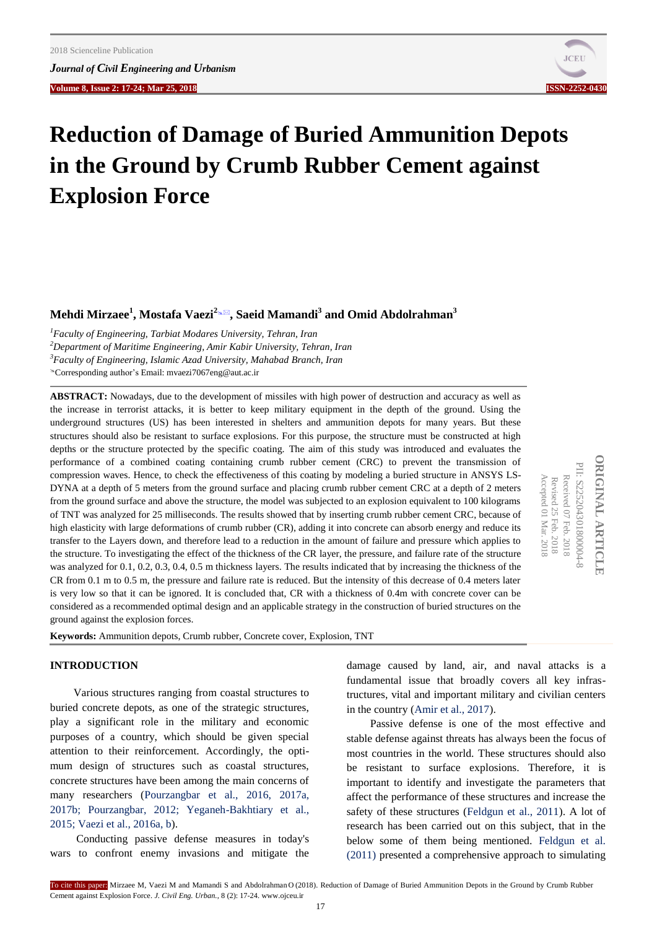**Volume 8, Issue 2: 17-24; Mar 25, 2018****ISSN-2252-0430**



# **Reduction of Damage of Buried Ammunition Depots in the Ground by Crumb Rubber Cement against Explosion Force**

**Mehdi Mirzaee<sup>1</sup> , Mostafa Vaezi<sup>2</sup>, Saeid Mamandi<sup>3</sup> and Omid Abdolrahman<sup>3</sup>**

*<sup>1</sup>Faculty of Engineering, Tarbiat Modares University, Tehran, Iran*

*<sup>2</sup>Department of Maritime Engineering, Amir Kabir University, Tehran, Iran*

*<sup>3</sup>Faculty of Engineering, Islamic Azad University, Mahabad Branch, Iran*

Corresponding author's Email: mvaezi7067eng@aut.ac.ir

**ABSTRACT:** Nowadays, due to the development of missiles with high power of destruction and accuracy as well as the increase in terrorist attacks, it is better to keep military equipment in the depth of the ground. Using the underground structures (US) has been interested in shelters and ammunition depots for many years. But these structures should also be resistant to surface explosions. For this purpose, the structure must be constructed at high depths or the structure protected by the specific coating. The aim of this study was introduced and evaluates the performance of a combined coating containing crumb rubber cement (CRC) to prevent the transmission of compression waves. Hence, to check the effectiveness of this coating by modeling a buried structure in ANSYS LS-DYNA at a depth of 5 meters from the ground surface and placing crumb rubber cement CRC at a depth of 2 meters from the ground surface and above the structure, the model was subjected to an explosion equivalent to 100 kilograms of TNT was analyzed for 25 milliseconds. The results showed that by inserting crumb rubber cement CRC, because of high elasticity with large deformations of crumb rubber (CR), adding it into concrete can absorb energy and reduce its transfer to the Layers down, and therefore lead to a reduction in the amount of failure and pressure which applies to the structure. To investigating the effect of the thickness of the CR layer, the pressure, and failure rate of the structure was analyzed for 0.1, 0.2, 0.3, 0.4, 0.5 m thickness layers. The results indicated that by increasing the thickness of the CR from 0.1 m to 0.5 m, the pressure and failure rate is reduced. But the intensity of this decrease of 0.4 meters later is very low so that it can be ignored. It is concluded that, CR with a thickness of 0.4m with concrete cover can be considered as a recommended optimal design and an applicable strategy in the construction of buried structures on the ground against the explosion forces.

**ORIGINAL ARTICLE DRIGINAL ARTICLE** PII: S225204301800004-PII: S225204301800004-8 Accepted 01 Received 07 Accepted 01 Mar. 2018 Revised 25 Feb. 2018 Mar. 2018 Feb. 2018

**Keywords:** Ammunition depots, Crumb rubber, Concrete cover, Explosion, TNT

## **INTRODUCTION**

Various structures ranging from coastal structures to buried concrete depots, as one of the strategic structures, play a significant role in the military and economic purposes of a country, which should be given special attention to their reinforcement. Accordingly, the optimum design of structures such as coastal structures, concrete structures have been among the main concerns of [many researchers \(Pourzangbar et al., 2016, 2017a,](#page-7-0)  2017b; Pourzangbar, 2012; Yeganeh-Bakhtiary et al., 2015; Vaezi et al., 2016a, b).

Conducting passive defense measures in today's wars to confront enemy invasions and mitigate the damage caused by land, air, and naval attacks is a fundamental issue that broadly covers all key infrastructures, vital and important military and civilian centers in the country [\(Amir et al., 2017\).](#page-7-0)

Passive defense is one of the most effective and stable defense against threats has always been the focus of most countries in the world. These structures should also be resistant to surface explosions. Therefore, it is important to identify and investigate the parameters that affect the performance of these structures and increase the safety of these structures [\(Feldgun et al., 2011\).](#page-7-0) A lot of research has been carried out on this subject, that in the below some of them being mentioned. [Feldgun et al.](#page-7-0)  [\(2011\)](#page-7-0) presented a comprehensive approach to simulating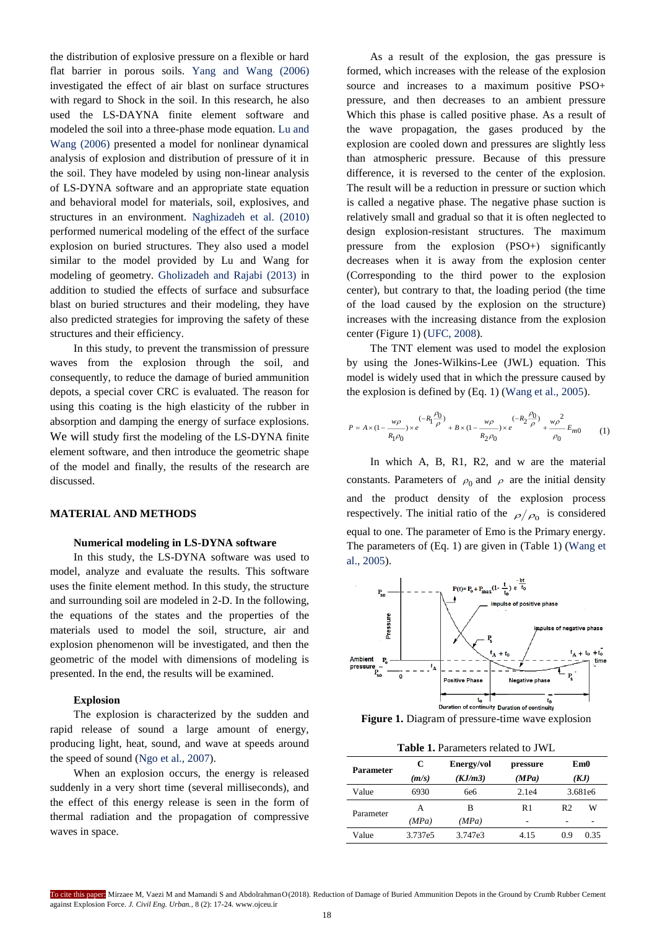the distribution of explosive pressure on a flexible or hard flat barrier in porous soils. [Yang and Wang \(2006\)](#page-7-0)  investigated the effect of air blast on surface structures with regard to Shock in the soil. In this research, he also used the LS-DAYNA finite element software and modeled the soil into a three-phase mode equation. [Lu and](#page-7-0)  [Wang \(2006\)](#page-7-0) presented a model for nonlinear dynamical analysis of explosion and distribution of pressure of it in the soil. They have modeled by using non-linear analysis of LS-DYNA software and an appropriate state equation and behavioral model for materials, soil, explosives, and structures in an environment. [Naghizadeh et al. \(2010\)](#page-7-0)  performed numerical modeling of the effect of the surface explosion on buried structures. They also used a model similar to the model provided by Lu and Wang for modeling of geometry. [Gholizadeh and Rajabi \(2013\)](#page-7-0) in addition to studied the effects of surface and subsurface blast on buried structures and their modeling, they have also predicted strategies for improving the safety of these structures and their efficiency.

In this study, to prevent the transmission of pressure waves from the explosion through the soil, and consequently, to reduce the damage of buried ammunition depots, a special cover CRC is evaluated. The reason for using this coating is the high elasticity of the rubber in absorption and damping the energy of surface explosions. We will study first the modeling of the LS-DYNA finite element software, and then introduce the geometric shape of the model and finally, the results of the research are discussed.

## **MATERIAL AND METHODS**

#### **Numerical modeling in LS-DYNA software**

In this study, the LS-DYNA software was used to model, analyze and evaluate the results. This software uses the finite element method. In this study, the structure and surrounding soil are modeled in 2-D. In the following, the equations of the states and the properties of the materials used to model the soil, structure, air and explosion phenomenon will be investigated, and then the geometric of the model with dimensions of modeling is presented. In the end, the results will be examined.

## **Explosion**

The explosion is characterized by the sudden and rapid release of sound a large amount of energy, producing light, heat, sound, and wave at speeds around the speed of sound [\(Ngo et al., 2007\).](#page-7-0)

When an explosion occurs, the energy is released suddenly in a very short time (several milliseconds), and the effect of this energy release is seen in the form of thermal radiation and the propagation of compressive waves in space.

As a result of the explosion, the gas pressure is formed, which increases with the release of the explosion source and increases to a maximum positive PSO+ pressure, and then decreases to an ambient pressure Which this phase is called positive phase. As a result of the wave propagation, the gases produced by the explosion are cooled down and pressures are slightly less than atmospheric pressure. Because of this pressure difference, it is reversed to the center of the explosion. The result will be a reduction in pressure or suction which is called a negative phase. The negative phase suction is relatively small and gradual so that it is often neglected to design explosion-resistant structures. The maximum pressure from the explosion  $(PSO+)$  significantly decreases when it is away from the explosion center (Corresponding to the third power to the explosion center), but contrary to that, the loading period (the time of the load caused by the explosion on the structure) increases with the increasing distance from the explosion center (Figure 1) [\(UFC, 2008\).](#page-7-0)

The TNT element was used to model the explosion by using the Jones-Wilkins-Lee (JWL) equation. This model is widely used that in which the pressure caused by the explosion is defined by (Eq. 1) [\(Wang et al., 2005\).](#page-7-0)

$$
P = A \times (1 - \frac{w\rho}{R_1 \rho_0}) \times e^{(-R_1 \frac{\rho_0}{\rho})} + B \times (1 - \frac{w\rho}{R_2 \rho_0}) \times e^{(-R_2 \frac{\rho_0}{\rho})} + \frac{w\rho^2}{\rho_0} E_{m0}
$$
 (1)

In which A, B, R1, R2, and w are the material constants. Parameters of  $\rho_0$  and  $\rho$  are the initial density and the product density of the explosion process respectively. The initial ratio of the  $\rho/\rho_0$  is considered equal to one. The parameter of Emo is the Primary energy. The parameters of (Eq. 1) are given in (Table 1) [\(Wang et](#page-7-0)  [al., 2005\).](#page-7-0)



**Figure 1.** Diagram of pressure-time wave explosion

**Table 1.** Parameters related to JWL

| <b>Parameter</b> | C       | Energy/vol | pressure |                | Em0  |
|------------------|---------|------------|----------|----------------|------|
|                  | (m/s)   | (KJ/m3)    | (MPa)    |                | (KJ) |
| Value            | 6930    | 6e6        | 2.1e4    | 3.681e6        |      |
| Parameter        | А       | в          | R1       | R <sub>2</sub> | W    |
|                  | (MPa)   | (MPa)      | -        | ۰              | ۰    |
| Value            | 3.737e5 | 3.747e3    | 4.15     | 0.9            | 0.35 |

To cite this paper: Mirzaee M, Vaezi M and Mamandi S and AbdolrahmanO(2018). Reduction of Damage of Buried Ammunition Depots in the Ground by Crumb Rubber Cement against Explosion Force. *J. Civil Eng. Urban.,* 8 (2): 17-24. www.ojceu.ir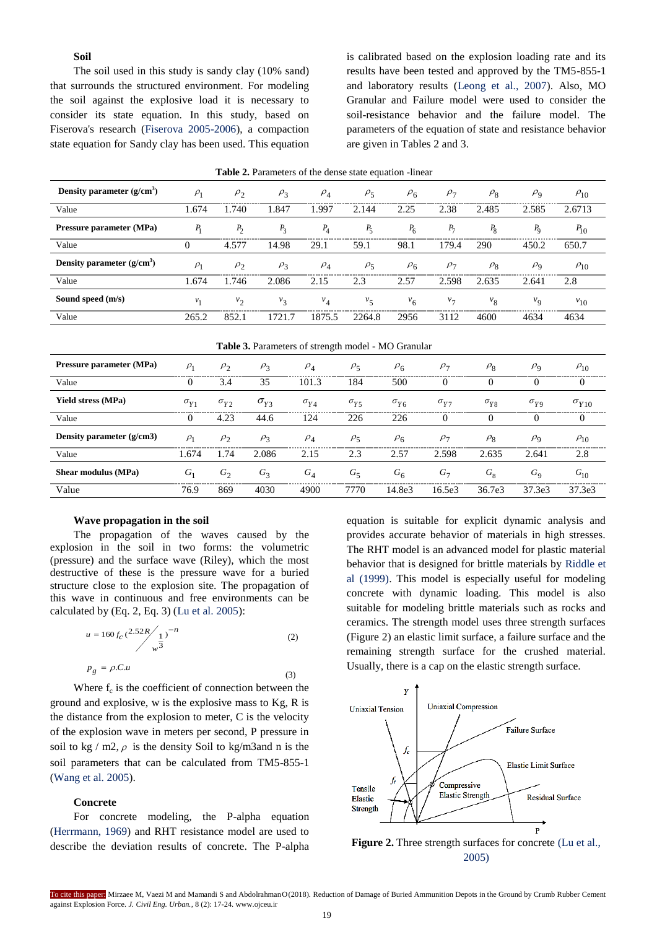# **Soil**

The soil used in this study is sandy clay (10% sand) that surrounds the structured environment. For modeling the soil against the explosive load it is necessary to consider its state equation. In this study, based on Fiserova's research [\(Fiserova 2005-2006\),](#page-7-0) a compaction state equation for Sandy clay has been used. This equation

is calibrated based on the explosion loading rate and its results have been tested and approved by the TM5-855-1 and laboratory results [\(Leong et al., 2007\).](#page-7-0) Also, MO Granular and Failure model were used to consider the soil-resistance behavior and the failure model. The parameters of the equation of state and resistance behavior are given in Tables 2 and 3.

| Density parameter $(g/cm3)$ | $\rho_1$ | $\rho$ <sub>2</sub> | $\rho_3$                                                   | $\rho_4$ | $\rho_5$ | $\rho_{6}$     | $\rho_7$ | $\rho_8$    | $\rho_{\rm q}$ | $\rho_{10}$ |
|-----------------------------|----------|---------------------|------------------------------------------------------------|----------|----------|----------------|----------|-------------|----------------|-------------|
| Value                       | 1.674    | 1.740               | 1.847                                                      | 1.997    | 2.144    | 2.25           | 2.38     | 2.485       | 2.585          | 2.6713      |
| Pressure parameter (MPa)    | $P_1$    | $P_2$               | $P_3$                                                      | $P_4$    | $P_5$    | $P_6$          | $P_7$    | $P_8$       | $P_{\rm Q}$    | $P_{10}$    |
| Value                       | $\Omega$ | 4.577               | 14.98                                                      | 29.1     | 59.1     | 98.1           | 179.4    | 290         | 450.2          | 650.7       |
| Density parameter $(g/cm3)$ | $\rho_1$ | $\rho_2$            | $\rho_3$                                                   | $\rho_4$ | $\rho_5$ | $\rho_6$       | $\rho_7$ | $\rho_8$    | $\rho_{\rm Q}$ | $\rho_{10}$ |
| Value                       | 1.674    | 1.746               | 2.086                                                      | 2.15     | 2.3      | 2.57           | 2.598    | 2.635       | 2.641          | 2.8         |
| Sound speed (m/s)           | $v_1$    | v <sub>2</sub>      | $v_3$                                                      | $v_4$    | $v_{5}$  | v <sub>6</sub> | $v_7$    | $v_{\rm g}$ | $v_{\rm Q}$    | $v_{10}$    |
| Value                       | 265.2    | 852.1               | 1721.7                                                     | 1875.5   | 2264.8   | 2956           | 3112     | 4600        | 4634           | 4634        |
|                             |          |                     | <b>Table 3.</b> Parameters of strength model - MO Granular |          |          |                |          |             |                |             |

|  | <b>Table 2.</b> Parameters of the dense state equation -linear |  |  |  |  |  |
|--|----------------------------------------------------------------|--|--|--|--|--|
|--|----------------------------------------------------------------|--|--|--|--|--|

| <b>Table 3.</b> Parameters of strength model - MO Granular |               |                     |               |               |               |               |               |               |                |                |
|------------------------------------------------------------|---------------|---------------------|---------------|---------------|---------------|---------------|---------------|---------------|----------------|----------------|
| Pressure parameter (MPa)                                   | $\rho_1$      | $\rho$ <sub>2</sub> | $\rho_3$      | $\rho_4$      | $\rho_5$      | $\rho_6$      | $\rho_7$      | $\rho_8$      | $\rho_{\rm q}$ | $\rho_{10}$    |
| Value                                                      | $\theta$      | 3.4                 | 35            | 101.3         | 184           | 500           | $^{(1)}$      | $\Omega$      | $\theta$       | $\theta$       |
| <b>Yield stress (MPa)</b>                                  | $\sigma_{Y1}$ | $\sigma_{Y2}$       | $\sigma_{V3}$ | $\sigma_{VA}$ | $\sigma_{Y5}$ | $\sigma_{Y6}$ | $\sigma_{Y7}$ | $\sigma_{Y8}$ | $\sigma_{yg}$  | $\sigma_{Y10}$ |
| Value                                                      | $\theta$      | 4.23                | 44.6          | 124           | 226           | 226           | 0             | $\Omega$      | 0              | $\Omega$       |
| Density parameter $(g/cm3)$                                | $\rho_1$      | $\rho$ <sub>2</sub> | $\rho_3$      | $\rho_4$      | $\rho_5$      | $\rho_6$      | $\rho_7$      | $\rho_8$      | $\rho_{\rm Q}$ | $\rho_{10}$    |
| Value                                                      | 1.674         | 1.74                | 2.086         | 2.15          | 2.3           | 2.57          | 2.598         | 2.635         | 2.641          | 2.8            |
| Shear modulus (MPa)                                        | $G_1$         | $G_2$               | $G_3$         | $G_{A}$       | $G_{\leq}$    | $G_{6}$       | $G_{\tau}$    | $G_{8}$       | $G_{\rm Q}$    | $G_{10}$       |
| Value                                                      | 76.9          | 869                 | 4030          | 4900          | 7770          | 14.8e3        | 16.5e3        | 36.7e3        | 37.3e3         | 37.3e3         |

#### **Wave propagation in the soil**

The propagation of the waves caused by the explosion in the soil in two forms: the volumetric (pressure) and the surface wave (Riley), which the most destructive of these is the pressure wave for a buried structure close to the explosion site. The propagation of this wave in continuous and free environments can be calculated by (Eq. 2, Eq. 3) [\(Lu et al. 2005\):](#page-7-0)

$$
u = 160 f_C \left(\frac{2.52R}{w^3}\right)^{-n}
$$
\n(2)\n  
\n
$$
p_g = \rho.C.u
$$
\n(3)

Where  $f_c$  is the coefficient of connection between the ground and explosive, w is the explosive mass to Kg, R is the distance from the explosion to meter, C is the velocity of the explosion wave in meters per second, P pressure in soil to kg / m2,  $\rho$  is the density Soil to kg/m3and n is the soil parameters that can be calculated from TM5-855-1 [\(Wang et al. 2005\).](#page-7-0)

## **Concrete**

For concrete modeling, the P-alpha equation [\(Herrmann, 1969\)](#page-7-0) and RHT resistance model are used to describe the deviation results of concrete. The P-alpha equation is suitable for explicit dynamic analysis and provides accurate behavior of materials in high stresses. The RHT model is an advanced model for plastic material behavior that is designed for brittle materials by [Riddle et](#page-7-0)  [al \(1999\).](#page-7-0) This model is especially useful for modeling concrete with dynamic loading. This model is also suitable for modeling brittle materials such as rocks and ceramics. The strength model uses three strength surfaces (Figure 2) an elastic limit surface, a failure surface and the remaining strength surface for the crushed material. Usually, there is a cap on the elastic strength surface.



**Figure 2.** Three strength surfaces for concrete (Lu et al., [2005\)](#page-7-0)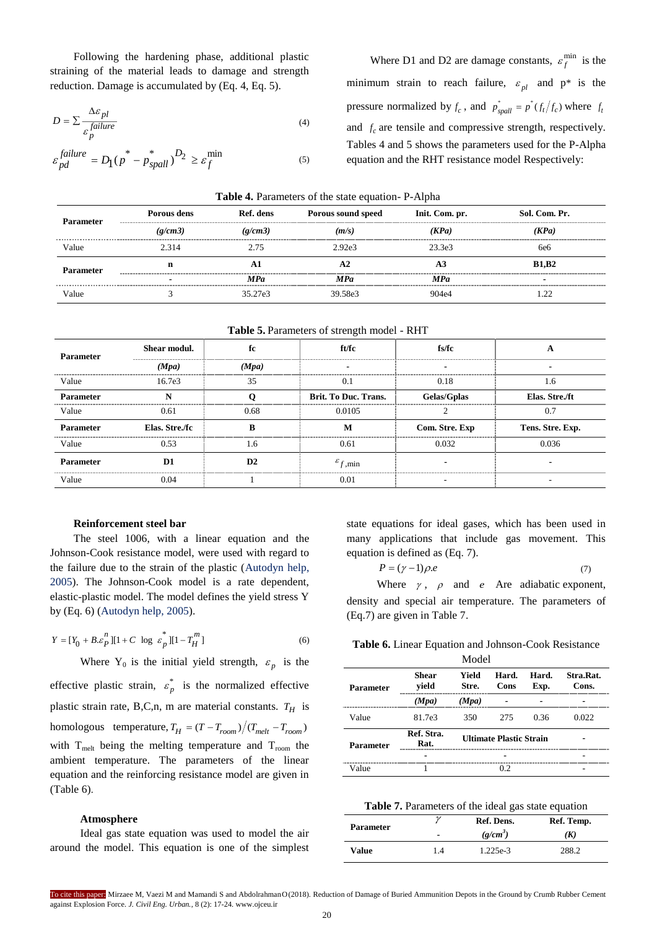Following the hardening phase, additional plastic straining of the material leads to damage and strength reduction. Damage is accumulated by (Eq. 4, Eq. 5).

$$
D = \sum \frac{\Delta \varepsilon_{pl}}{\varepsilon_p^{\text{failure}}} \tag{4}
$$

$$
\varepsilon_{pd}^{failure} = D_1(p^* - p^*_{spall})^{D_2} \ge \varepsilon_f^{min}
$$

Where D1 and D2 are damage constants,  $\varepsilon_r^{\text{min}}$  $\varepsilon_f^{\text{min}}$  is the minimum strain to reach failure,  $\varepsilon_{pl}$  and  $p^*$  is the pressure normalized by  $f_c$ , and  $p_{spall}^* = p^*(f_t/f_c)$  where  $f_t$ and  $f_c$  are tensile and compressive strength, respectively. Tables 4 and 5 shows the parameters used for the P-Alpha equation and the RHT resistance model Respectively:

| <b>Table 4.</b> Parameters of the state equation- P-Alpha |             |           |                    |                |                 |  |  |
|-----------------------------------------------------------|-------------|-----------|--------------------|----------------|-----------------|--|--|
| <b>Parameter</b>                                          | Porous dens | Ref. dens | Porous sound speed | Init. Com. pr. | Sol. Com. Pr.   |  |  |
|                                                           | (g/cm3)     | (g/cm3)   | (m/s)              | (KPa)          | (KPa)           |  |  |
| Value                                                     | 2.314       | 2 75      | 2.92e3             | 23.3e3         | 6e <sub>6</sub> |  |  |
| <b>Parameter</b>                                          | n           | A.        | A2                 | A3             | <b>B1,B2</b>    |  |  |
|                                                           | -           | MPa       | MPa                | <b>MPa</b>     |                 |  |  |
| Value                                                     |             | 35.27e3   | 39.58e3            | 904e4          | .22             |  |  |

|  |  |  | Table 4. Parameters of the state equation-P-Alpha |  |
|--|--|--|---------------------------------------------------|--|
|--|--|--|---------------------------------------------------|--|

(5)

| Table 5. Parameters of strength model - RHT |  |
|---------------------------------------------|--|
|---------------------------------------------|--|

| <b>Parameter</b> | Shear modul.   | fc    | ft/fc                        | fs/fc          | А                |
|------------------|----------------|-------|------------------------------|----------------|------------------|
|                  | (Mpa)          | (Mpa) |                              |                |                  |
| Value            | 16.7e3         | 35    | 0.1                          | 0.18           | 1.6              |
| <b>Parameter</b> |                |       | <b>Brit. To Duc. Trans.</b>  | Gelas/Gplas    | Elas. Stre./ft   |
| Value            | 0.61           | 0.68  | 0.0105                       |                | 0.2              |
| <b>Parameter</b> | Elas. Stre./fc |       |                              | Com. Stre. Exp | Tens. Stre. Exp. |
| Value            | 0.53           | 1.6   | 0.61                         | 0.032          | 0.036            |
| Parameter        | D1             | D2    | $\varepsilon_{f,\text{min}}$ |                |                  |
| Value            | 0.04           |       | 0.01                         |                |                  |

## **Reinforcement steel bar**

The steel 1006, with a linear equation and the Johnson-Cook resistance model, were used with regard to the failure due to the strain of the plastic [\(Autodyn](#page-7-0) help, [2005\).](#page-7-0) The Johnson-Cook model is a rate dependent, elastic-plastic model. The model defines the yield stress Y by (Eq. 6) [\(Autodyn](#page-7-0) help, 2005).

$$
Y = [Y_0 + B \mathcal{L}_P^n][1 + C \log \mathcal{L}_P^*][1 - T_H^m] \tag{6}
$$

Where Y<sub>0</sub> is the initial yield strength,  $\varepsilon_p$  is the effective plastic strain,  $\varepsilon_p^*$  is the normalized effective plastic strain rate, B,C,n, m are material constants.  $T_H$  is homologous temperature,  $T_H = (T - T_{room})/(T_{melt} - T_{room})$ with  $T_{\text{melt}}$  being the melting temperature and  $T_{\text{room}}$  the ambient temperature. The parameters of the linear equation and the reinforcing resistance model are given in (Table 6).

## **Atmosphere**

Ideal gas state equation was used to model the air around the model. This equation is one of the simplest state equations for ideal gases, which has been used in many applications that include gas movement. This equation is defined as (Eq. 7).

$$
P = (\gamma - 1)\rho.e \tag{7}
$$

Where  $\gamma$ ,  $\rho$  and *e* Are adiabatic exponent, density and special air temperature. The parameters of (Eq.7) are given in Table 7.

| Table 6. Linear Equation and Johnson-Cook Resistance |  |  |  |
|------------------------------------------------------|--|--|--|
|                                                      |  |  |  |

|                  |                       | Model          |                                |               |                    |
|------------------|-----------------------|----------------|--------------------------------|---------------|--------------------|
| <b>Parameter</b> | <b>Shear</b><br>vield | Yield<br>Stre. | Hard.<br>Cons                  | Hard.<br>Exp. | Stra.Rat.<br>Cons. |
|                  | (Mpa)                 | (Mpa)          |                                |               |                    |
| Value            | 81.7e3                | 350            | 275                            | 0.36          | 0.022              |
| <b>Parameter</b> | Ref. Stra.<br>Rat.    |                | <b>Ultimate Plastic Strain</b> |               |                    |
|                  |                       |                |                                |               |                    |
| Value            |                       |                | 02                             |               |                    |

#### **Table 7.** Parameters of the ideal gas state equation

| <b>Parameter</b> | $\gamma$       | Ref. Dens. | Ref. Temp. |
|------------------|----------------|------------|------------|
|                  | $\overline{a}$ | $(g/cm^3)$ | (K)        |
| Value            | 1.4            | 1.225e-3   | 288.2      |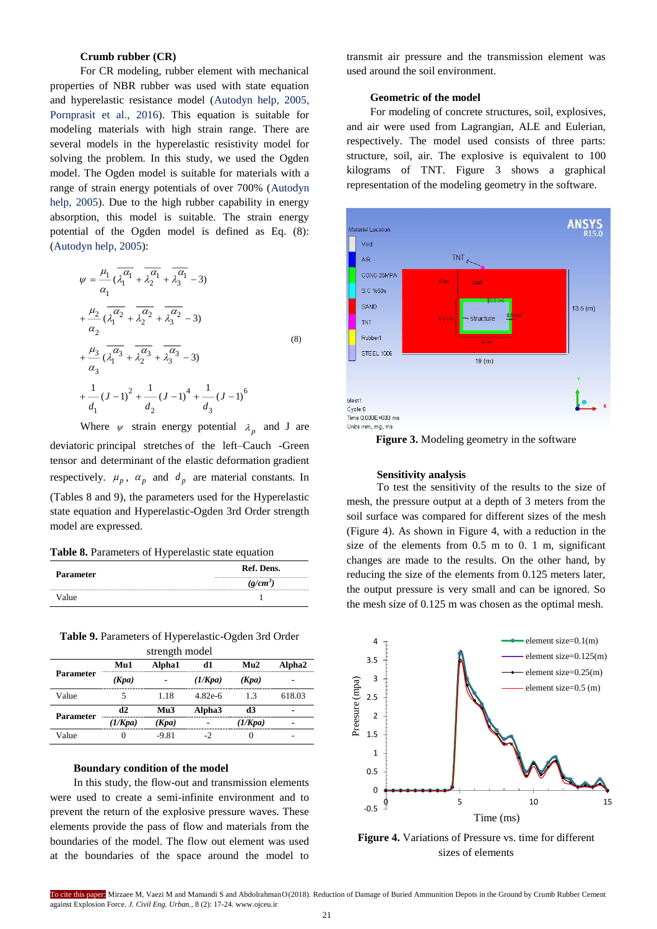# **Crumb rubber (CR)**

For CR modeling, rubber element with mechanical properties of NBR rubber was used with state equation and hyperelastic resistance model [\(Autodyn](#page-7-0) help, 2005, [Pornprasit](#page-7-0) et al., 2016). This equation is suitable for modeling materials with high strain range. There are several models in the hyperelastic resistivity model for solving the problem. In this study, we used the Ogden model. The Ogden model is suitable for materials with a range of strain energy potentials of over 700% [\(Autodyn](#page-7-0)  [help, 2005\).](#page-7-0) Due to the high rubber capability in energy absorption, this model is suitable. The strain energy potential of the Ogden model is defined as Eq. (8): [\(Autodyn](#page-7-0) help, 2005):

$$
\psi = \frac{\mu_1}{\alpha_1} \overline{(\lambda_1^{\alpha_1} + \overline{\lambda_2^{\alpha_1}} + \overline{\lambda_3^{\alpha_1}} - 3)}
$$
  
+ 
$$
\frac{\mu_2}{\alpha_2} \overline{(\lambda_1^{\alpha_2} + \overline{\lambda_2^{\alpha_2}} + \overline{\lambda_3^{\alpha_2}} - 3)}
$$
  
+ 
$$
\frac{\mu_3}{\alpha_3} \overline{(\lambda_1^{\alpha_3} + \overline{\lambda_2^{\alpha_3}} + \overline{\lambda_3^{\alpha_3}} - 3)}
$$
  
+ 
$$
\frac{1}{\alpha_3} (J - 1)^2 + \frac{1}{\alpha_2} (J - 1)^4 + \frac{1}{\alpha_3} (J - 1)^6
$$
 (8)

Where  $\psi$  strain energy potential  $\lambda_p$  and J are deviatoric principal stretches of the left–Cauch -Green tensor and determinant of the elastic deformation gradient respectively.  $\mu_p$ ,  $\alpha_p$  and  $d_p$  are material constants. In (Tables 8 and 9), the parameters used for the Hyperelastic state equation and Hyperelastic-Ogden 3rd Order strength model are expressed.

|  | Table 8. Parameters of Hyperelastic state equation |  |  |  |
|--|----------------------------------------------------|--|--|--|
|--|----------------------------------------------------|--|--|--|

| <b>Parameter</b> | Ref. Dens. |  |  |
|------------------|------------|--|--|
|                  | $(g/cm^3)$ |  |  |
| Value            |            |  |  |

**Table 9.** Parameters of Hyperelastic-Ogden 3rd Order strength model

| <b>Parameter</b> | Mu1     | Alpha1                   | d1             | Mu2     | Alpha2 |  |
|------------------|---------|--------------------------|----------------|---------|--------|--|
|                  | (Kpa)   | $\overline{\phantom{0}}$ | (1/Kpa)        | (Kpa)   | -      |  |
| Value            |         | 1.18                     | $4.82e-6$      | 13      | 618.03 |  |
| Parameter        | d2      | Mu3                      | Alpha3         | d3      | -      |  |
|                  | (1/Kpa) | (Kpa)                    | $\overline{a}$ | (1/Kpa) | -      |  |
| Value            |         | $-9.81$                  |                |         |        |  |

#### **Boundary condition of the model**

In this study, the flow-out and transmission elements were used to create a semi-infinite environment and to prevent the return of the explosive pressure waves. These elements provide the pass of flow and materials from the boundaries of the model. The flow out element was used at the boundaries of the space around the model to

transmit air pressure and the transmission element was used around the soil environment.

## **Geometric of the model**

For modeling of concrete structures, soil, explosives, and air were used from Lagrangian, ALE and Eulerian, respectively. The model used consists of three parts: structure, soil, air. The explosive is equivalent to 100 kilograms of TNT. Figure 3 shows a graphical representation of the modeling geometry in the software.



**Figure 3.** Modeling geometry in the software

#### **Sensitivity analysis**

To test the sensitivity of the results to the size of mesh, the pressure output at a depth of 3 meters from the soil surface was compared for different sizes of the mesh (Figure 4). As shown in Figure 4, with a reduction in the size of the elements from 0.5 m to 0. 1 m, significant changes are made to the results. On the other hand, by reducing the size of the elements from 0.125 meters later, the output pressure is very small and can be ignored. So the mesh size of 0.125 m was chosen as the optimal mesh.



**Figure 4.** Variations of Pressure vs. time for different sizes of elements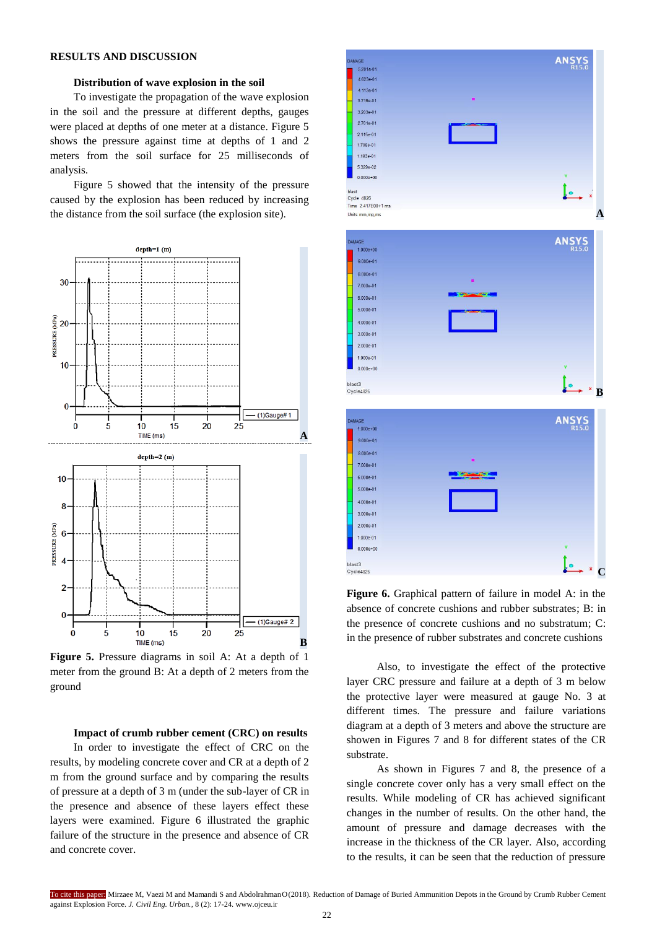## **RESULTS AND DISCUSSION**

## **Distribution of wave explosion in the soil**

To investigate the propagation of the wave explosion in the soil and the pressure at different depths, gauges were placed at depths of one meter at a distance. Figure 5 shows the pressure against time at depths of 1 and 2 meters from the soil surface for 25 milliseconds of analysis.

Figure 5 showed that the intensity of the pressure caused by the explosion has been reduced by increasing the distance from the soil surface (the explosion site).



**Figure 5.** Pressure diagrams in soil A: At a depth of 1 meter from the ground B: At a depth of 2 meters from the ground

**Impact of crumb rubber cement (CRC) on results** In order to investigate the effect of CRC on the results, by modeling concrete cover and CR at a depth of 2 m from the ground surface and by comparing the results of pressure at a depth of 3 m (under the sub-layer of CR in the presence and absence of these layers effect these layers were examined. Figure 6 illustrated the graphic failure of the structure in the presence and absence of CR and concrete cover.



**Figure 6.** Graphical pattern of failure in model A: in the absence of concrete cushions and rubber substrates; B: in the presence of concrete cushions and no substratum; C: in the presence of rubber substrates and concrete cushions

Also, to investigate the effect of the protective layer CRC pressure and failure at a depth of 3 m below the protective layer were measured at gauge No. 3 at different times. The pressure and failure variations diagram at a depth of 3 meters and above the structure are showen in Figures 7 and 8 for different states of the CR substrate.

As shown in Figures 7 and 8, the presence of a single concrete cover only has a very small effect on the results. While modeling of CR has achieved significant changes in the number of results. On the other hand, the amount of pressure and damage decreases with the increase in the thickness of the CR layer. Also, according to the results, it can be seen that the reduction of pressure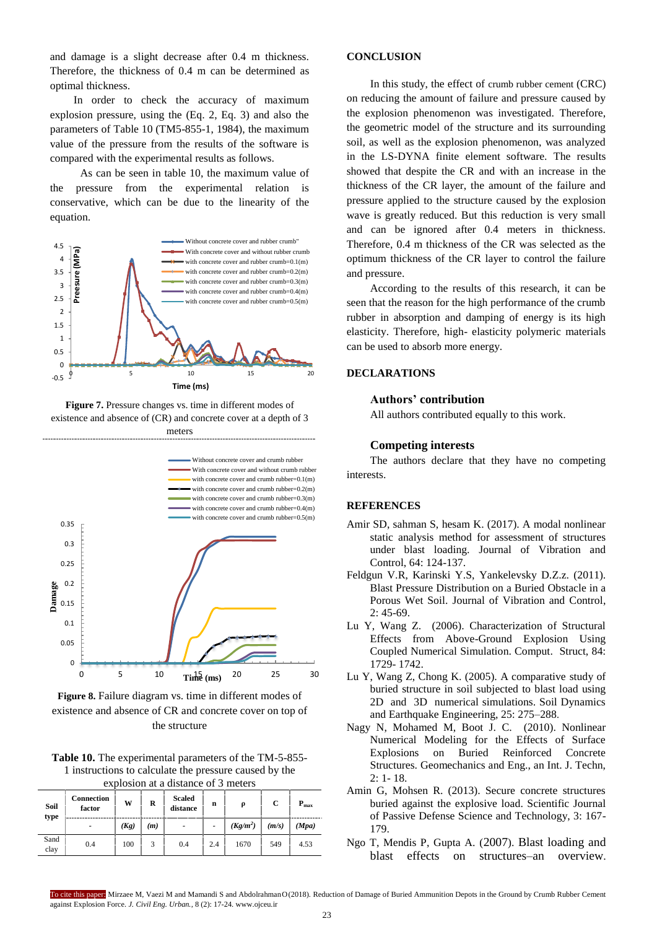and damage is a slight decrease after 0.4 m thickness. Therefore, the thickness of 0.4 m can be determined as optimal thickness.

In order to check the accuracy of maximum explosion pressure, using the (Eq. 2, Eq. 3) and also the parameters of Table 10 (TM5-855-1, 1984), the maximum value of the pressure from the results of the software is compared with the experimental results as follows.

As can be seen in table 10, the maximum value of the pressure from the experimental relation is conservative, which can be due to the linearity of the equation.



**Figure 7.** Pressure changes vs. time in different modes of existence and absence of (CR) and concrete cover at a depth of 3 meters



**Figure 8.** Failure diagram vs. time in different modes of existence and absence of CR and concrete cover on top of the structure

| Table 10. The experimental parameters of the TM-5-855- |
|--------------------------------------------------------|
| 1 instructions to calculate the pressure caused by the |
| explosion at a distance of 3 meters                    |

| Soil<br>type | Connection<br>factor | W    | R   | <b>Scaled</b><br>distance | $\mathbf n$              | ρ          | С     | $P_{\text{max}}$ |
|--------------|----------------------|------|-----|---------------------------|--------------------------|------------|-------|------------------|
|              | -                    | (Kg) | (m) | $\overline{\phantom{a}}$  | $\overline{\phantom{a}}$ | $(Kg/m^2)$ | (m/s) | (Mpa)            |
| Sand<br>clay | 0.4                  | 100  | 3   | 0.4                       | 2.4                      | 1670       | 549   | 4.53             |

# **CONCLUSION**

In this study, the effect of crumb rubber cement (CRC) on reducing the amount of failure and pressure caused by the explosion phenomenon was investigated. Therefore, the geometric model of the structure and its surrounding soil, as well as the explosion phenomenon, was analyzed in the LS-DYNA finite element software. The results showed that despite the CR and with an increase in the thickness of the CR layer, the amount of the failure and pressure applied to the structure caused by the explosion wave is greatly reduced. But this reduction is very small and can be ignored after 0.4 meters in thickness. Therefore, 0.4 m thickness of the CR was selected as the optimum thickness of the CR layer to control the failure and pressure.

According to the results of this research, it can be seen that the reason for the high performance of the crumb rubber in absorption and damping of energy is its high elasticity. Therefore, high- elasticity polymeric materials can be used to absorb more energy.

# **DECLARATIONS**

## **Authors' contribution**

All authors contributed equally to this work.

#### **Competing interests**

The authors declare that they have no competing interests.

## **REFERENCES**

- Amir SD, sahman S, hesam K. (2017). A modal nonlinear static analysis method for assessment of structures under blast loading. [Journal of Vibration and](http://journals.sagepub.com/home/jvc)  [Control,](http://journals.sagepub.com/home/jvc) 64: 124-137.
- Feldgun V.R, Karinski Y.S, Yankelevsky D.Z.z. (2011). Blast Pressure Distribution on a Buried Obstacle in a Porous Wet Soil. [Journal of Vibration and Control,](http://journals.sagepub.com/home/jvc) 2: 45-69.
- Lu Y, Wang Z. (2006). Characterization of Structural Effects from Above-Ground Explosion Using Coupled Numerical Simulation. Comput. Struct, 84: 1729- 1742.
- Lu Y, Wang Z, Chong K. (2005). A comparative study of buried structure in soil subjected to blast load using 2D and 3D numerical simulations. Soil Dynamics and Earthquake Engineering, 25: 275–288.
- Nagy N, Mohamed M, Boot J. C. (2010). Nonlinear Numerical Modeling for the Effects of Surface Explosions on Buried Reinforced Concrete Structures. Geomechanics and Eng., an Int. J. Techn, 2: 1- 18.
- Amin G, Mohsen R. (2013). Secure concrete structures buried against the explosive load. Scientific Journal of Passive Defense Science and Technology, 3: 167- 179.
- Ngo T, Mendis P, Gupta A. (2007). Blast loading and blast effects on structures–an overview.

To cite this paper: Mirzaee M, Vaezi M and Mamandi S and AbdolrahmanO(2018). Reduction of Damage of Buried Ammunition Depots in the Ground by Crumb Rubber Cement against Explosion Force. *J. Civil Eng. Urban.,* 8 (2): 17-24. www.ojceu.ir